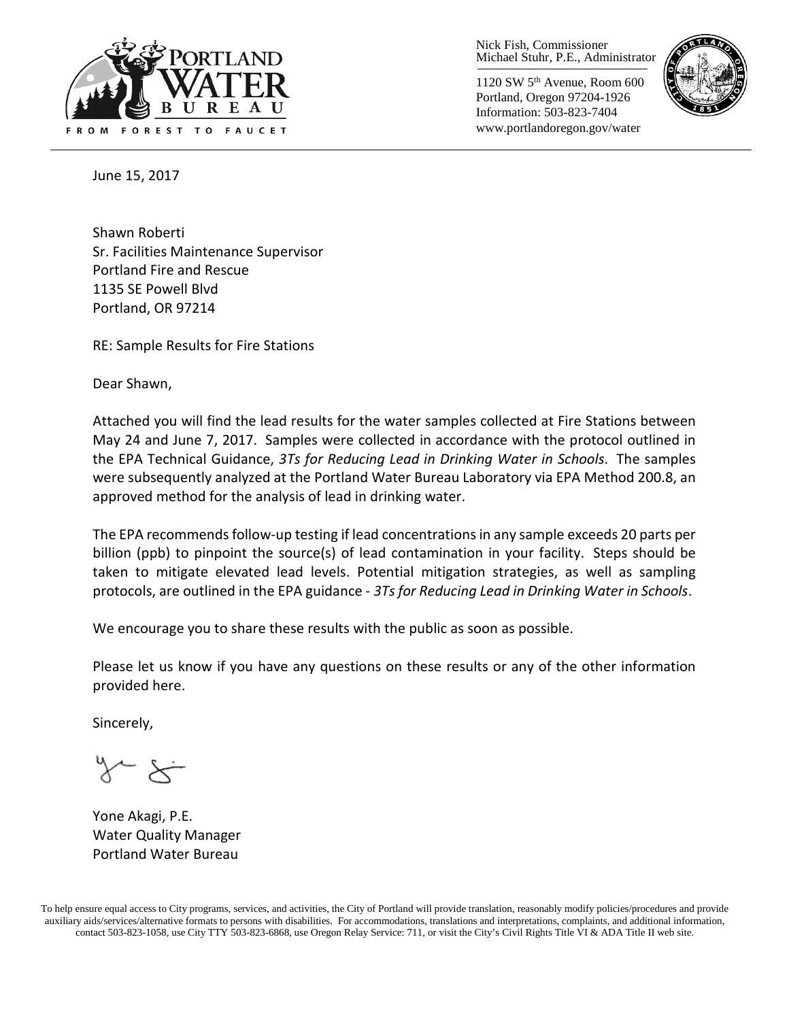

Nick Fish, Commissioner Michael Stuhr, P.E., Administrator

1120 SW 5th Avenue, Room 600 Portland, Oregon 97204-1926 Information: 503-823-7404 www.portlandoregon.gov/water



June 15, 2017

Shawn Roberti Sr. Facilities Maintenance Supervisor Portland Fire and Rescue 1135 SE Powell Blvd Portland, OR 97214

RE: Sample Results for Fire Stations

Dear Shawn,

Attached you will find the lead results for the water samples collected at Fire Stations between May 24 and June 7, 2017. Samples were collected in accordance with the protocol outlined in the EPA Technical Guidance, *3Ts for Reducing Lead in Drinking Water in Schools*. The samples were subsequently analyzed at the Portland Water Bureau Laboratory via EPA Method 200.8, an approved method for the analysis of lead in drinking water.

The EPA recommends follow-up testing if lead concentrations in any sample exceeds 20 parts per billion (ppb) to pinpoint the source(s) of lead contamination in your facility. Steps should be taken to mitigate elevated lead levels. Potential mitigation strategies, as well as sampling protocols, are outlined in the EPA guidance - *3Ts for Reducing Lead in Drinking Water in Schools*.

We encourage you to share these results with the public as soon as possible.

Please let us know if you have any questions on these results or any of the other information provided here.

Sincerely,

Yone Akagi, P.E. Water Quality Manager Portland Water Bureau

To help ensure equal access to City programs, services, and activities, the City of Portland will provide translation, reasonably modify policies/procedures and provide auxiliary aids/services/alternative formats to persons with disabilities. For accommodations, translations and interpretations, complaints, and additional information, contact 503-823-1058, use City TTY 503-823-6868, use Oregon Relay Service: 711, or visi[t the City's Civil Rights Title VI & ADA Title II web site.](http://www.portlandoregon.gov/oehr/66458)